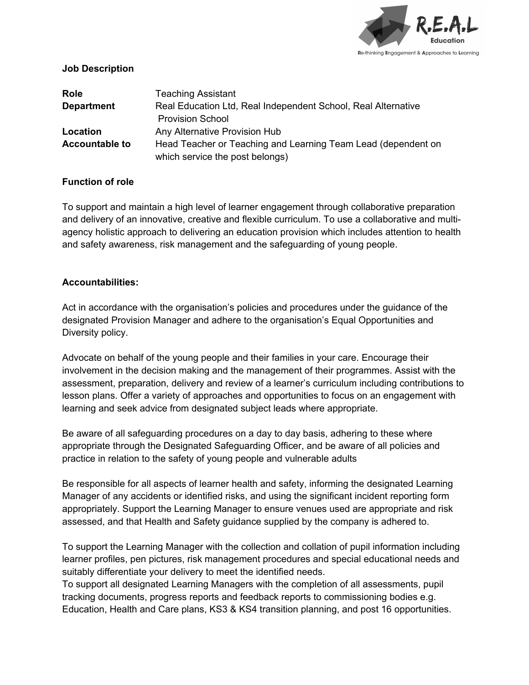

### **Job Description**

| <b>Role</b>           | <b>Teaching Assistant</b>                                     |
|-----------------------|---------------------------------------------------------------|
| <b>Department</b>     | Real Education Ltd, Real Independent School, Real Alternative |
|                       | <b>Provision School</b>                                       |
| Location              | Any Alternative Provision Hub                                 |
| <b>Accountable to</b> | Head Teacher or Teaching and Learning Team Lead (dependent on |
|                       | which service the post belongs)                               |

# **Function of role**

To support and maintain a high level of learner engagement through collaborative preparation and delivery of an innovative, creative and flexible curriculum. To use a collaborative and multiagency holistic approach to delivering an education provision which includes attention to health and safety awareness, risk management and the safeguarding of young people.

# **Accountabilities:**

Act in accordance with the organisation's policies and procedures under the guidance of the designated Provision Manager and adhere to the organisation's Equal Opportunities and Diversity policy.

Advocate on behalf of the young people and their families in your care. Encourage their involvement in the decision making and the management of their programmes. Assist with the assessment, preparation, delivery and review of a learner's curriculum including contributions to lesson plans. Offer a variety of approaches and opportunities to focus on an engagement with learning and seek advice from designated subject leads where appropriate.

Be aware of all safeguarding procedures on a day to day basis, adhering to these where appropriate through the Designated Safeguarding Officer, and be aware of all policies and practice in relation to the safety of young people and vulnerable adults

Be responsible for all aspects of learner health and safety, informing the designated Learning Manager of any accidents or identified risks, and using the significant incident reporting form appropriately. Support the Learning Manager to ensure venues used are appropriate and risk assessed, and that Health and Safety guidance supplied by the company is adhered to.

To support the Learning Manager with the collection and collation of pupil information including learner profiles, pen pictures, risk management procedures and special educational needs and suitably differentiate your delivery to meet the identified needs.

To support all designated Learning Managers with the completion of all assessments, pupil tracking documents, progress reports and feedback reports to commissioning bodies e.g. Education, Health and Care plans, KS3 & KS4 transition planning, and post 16 opportunities.